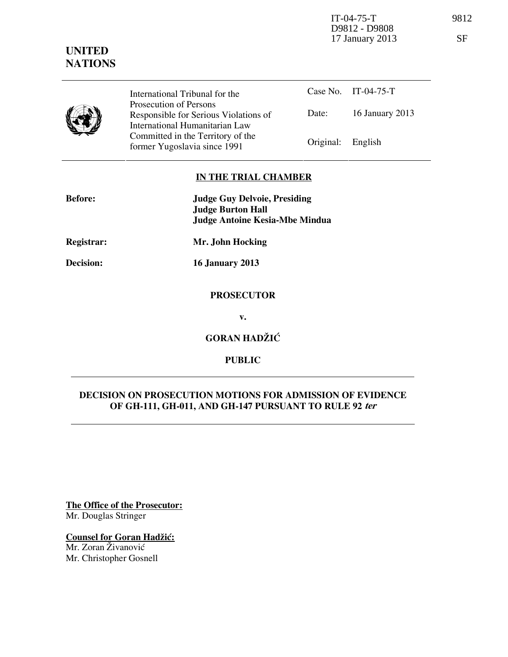IT-04-75-T 9812 D9812 - D9808 17 January 2013 SF

|  | International Tribunal for the                                                                    |                   | Case No. IT-04-75-T |
|--|---------------------------------------------------------------------------------------------------|-------------------|---------------------|
|  | Prosecution of Persons<br>Responsible for Serious Violations of<br>International Humanitarian Law | Date:             | 16 January 2013     |
|  | Committed in the Territory of the<br>former Yugoslavia since 1991                                 | Original: English |                     |

## **IN THE TRIAL CHAMBER**

| <b>Before:</b> | <b>Judge Guy Delvoie, Presiding</b><br><b>Judge Burton Hall</b> |  |  |
|----------------|-----------------------------------------------------------------|--|--|
|                | <b>Judge Antoine Kesia-Mbe Mindua</b>                           |  |  |
| Registrar:     | Mr. John Hocking                                                |  |  |
| Decision:      | <b>16 January 2013</b>                                          |  |  |
|                | <b>PROSECUTOR</b>                                               |  |  |
|                | v.                                                              |  |  |
|                | <b>GORAN HADŽIĆ</b>                                             |  |  |
|                |                                                                 |  |  |

# **DECISION ON PROSECUTION MOTIONS FOR ADMISSION OF EVIDENCE OF GH-111, GH-011, AND GH-147 PURSUANT TO RULE 92 ter**

**PUBLIC** 

**The Office of the Prosecutor:** Mr. Douglas Stringer

**Counsel for Goran Hadžić:** Mr. Zoran Živanović

Mr. Christopher Gosnell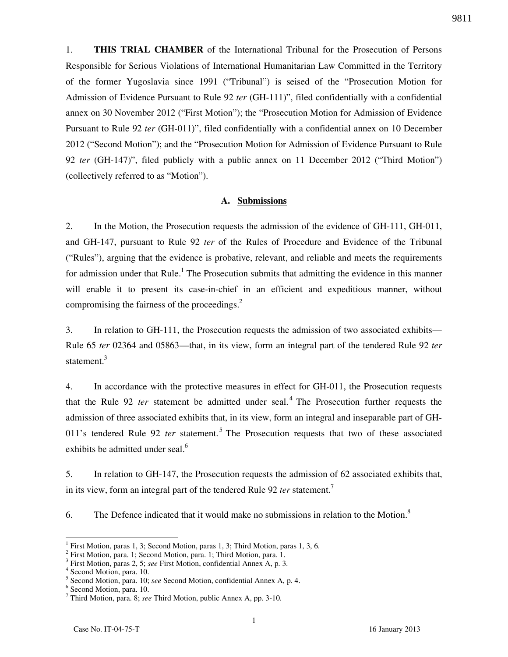1. **THIS TRIAL CHAMBER** of the International Tribunal for the Prosecution of Persons Responsible for Serious Violations of International Humanitarian Law Committed in the Territory of the former Yugoslavia since 1991 ("Tribunal") is seised of the "Prosecution Motion for Admission of Evidence Pursuant to Rule 92 *ter* (GH-111)", filed confidentially with a confidential annex on 30 November 2012 ("First Motion"); the "Prosecution Motion for Admission of Evidence Pursuant to Rule 92 *ter* (GH-011)", filed confidentially with a confidential annex on 10 December 2012 ("Second Motion"); and the "Prosecution Motion for Admission of Evidence Pursuant to Rule 92 *ter* (GH-147)", filed publicly with a public annex on 11 December 2012 ("Third Motion") (collectively referred to as "Motion").

#### **A. Submissions**

2. In the Motion, the Prosecution requests the admission of the evidence of GH-111, GH-011, and GH-147, pursuant to Rule 92 *ter* of the Rules of Procedure and Evidence of the Tribunal ("Rules"), arguing that the evidence is probative, relevant, and reliable and meets the requirements for admission under that Rule.<sup>1</sup> The Prosecution submits that admitting the evidence in this manner will enable it to present its case-in-chief in an efficient and expeditious manner, without compromising the fairness of the proceedings. $2$ 

3. In relation to GH-111, the Prosecution requests the admission of two associated exhibits— Rule 65 *ter* 02364 and 05863—that, in its view, form an integral part of the tendered Rule 92 *ter*  statement.<sup>3</sup>

4. In accordance with the protective measures in effect for GH-011, the Prosecution requests that the Rule 92 *ter* statement be admitted under seal.<sup>4</sup> The Prosecution further requests the admission of three associated exhibits that, in its view, form an integral and inseparable part of GH-011's tendered Rule 92 *ter* statement.<sup>5</sup> The Prosecution requests that two of these associated exhibits be admitted under seal.<sup>6</sup>

5. In relation to GH-147, the Prosecution requests the admission of 62 associated exhibits that, in its view, form an integral part of the tendered Rule 92 *ter* statement.<sup>7</sup>

6. The Defence indicated that it would make no submissions in relation to the Motion. $8$ 

 $\overline{a}$ 

9811

<sup>1</sup> First Motion, paras 1, 3; Second Motion, paras 1, 3; Third Motion, paras 1, 3, 6.

<sup>&</sup>lt;sup>2</sup> First Motion, para. 1; Second Motion, para. 1; Third Motion, para. 1.<br><sup>3</sup> First Motion, paras 2, 5: see First Motion, confidential Appex A, p. 2.

First Motion, paras 2, 5; *see* First Motion, confidential Annex A, p. 3.

<sup>4</sup> Second Motion, para. 10.

<sup>5</sup> Second Motion, para. 10; *see* Second Motion, confidential Annex A, p. 4.

<sup>6</sup> Second Motion, para. 10.

<sup>7</sup> Third Motion, para. 8; *see* Third Motion, public Annex A, pp. 3-10.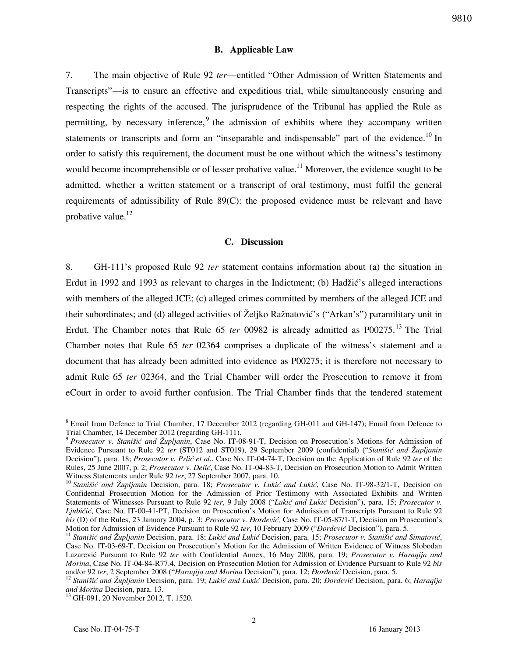#### **B. Applicable Law**

7. The main objective of Rule 92 *ter*—entitled "Other Admission of Written Statements and Transcripts"—is to ensure an effective and expeditious trial, while simultaneously ensuring and respecting the rights of the accused. The jurisprudence of the Tribunal has applied the Rule as permitting, by necessary inference,  $9$  the admission of exhibits where they accompany written statements or transcripts and form an "inseparable and indispensable" part of the evidence.<sup>10</sup> In order to satisfy this requirement, the document must be one without which the witness's testimony would become incomprehensible or of lesser probative value.<sup>11</sup> Moreover, the evidence sought to be admitted, whether a written statement or a transcript of oral testimony, must fulfil the general requirements of admissibility of Rule 89(C): the proposed evidence must be relevant and have probative value. $^{12}$ 

### **C. Discussion**

8. GH-111's proposed Rule 92 *ter* statement contains information about (a) the situation in Erdut in 1992 and 1993 as relevant to charges in the Indictment; (b) Hadžić's alleged interactions with members of the alleged JCE; (c) alleged crimes committed by members of the alleged JCE and their subordinates; and (d) alleged activities of Željko Ražnatović's ("Arkan's") paramilitary unit in Erdut. The Chamber notes that Rule 65 *ter* 00982 is already admitted as P00275.<sup>13</sup> The Trial Chamber notes that Rule 65 *ter* 02364 comprises a duplicate of the witness's statement and a document that has already been admitted into evidence as P00275; it is therefore not necessary to admit Rule 65 *ter* 02364, and the Trial Chamber will order the Prosecution to remove it from eCourt in order to avoid further confusion. The Trial Chamber finds that the tendered statement

 $\overline{a}$ 

<sup>&</sup>lt;sup>8</sup> Email from Defence to Trial Chamber, 17 December 2012 (regarding GH-011 and GH-147); Email from Defence to Trial Chamber, 14 December 2012 (regarding GH-111).

<sup>9</sup> *Prosecutor v. Stanišić and Župljanin*, Case No. IT-08-91-T, Decision on Prosecution's Motions for Admission of Evidence Pursuant to Rule 92 *ter* (ST012 and ST019), 29 September 2009 (confidential) ("*Stanišić and Župljanin* Decision"), para. 18; *Prosecutor v. Prlić et al.*, Case No. IT-04-74-T, Decision on the Application of Rule 92 *ter* of the Rules, 25 June 2007, p. 2; *Prosecutor v. Delić*, Case No. IT-04-83-T, Decision on Prosecution Motion to Admit Written Witness Statements under Rule 92 *ter*, 27 September 2007, para. 10.

<sup>&</sup>lt;sup>10</sup> Stanišić and Župljanin Decision, para. 18; Prosecutor v. Lukić and Lukić, Case No. IT-98-32/1-T, Decision on Confidential Prosecution Motion for the Admission of Prior Testimony with Associated Exhibits and Written Statements of Witnesses Pursuant to Rule 92 ter, 9 July 2008 ("Lukić and Lukić Decision"), para. 15; *Prosecutor v. Ljubičić*, Case No. IT-00-41-PT, Decision on Prosecution's Motion for Admission of Transcripts Pursuant to Rule 92 *bis* (D) of the Rules, 23 January 2004, p. 3; *Prosecutor v. Đorđević*, Case No. IT-05-87/1-T, Decision on Prosecution's Motion for Admission of Evidence Pursuant to Rule 92 ter, 10 February 2009 ("*Đorđević* Decision"), para. 5.

<sup>&</sup>lt;sup>11</sup> Stanišić and Župljanin Decision, para. 18; Lukić and Lukić Decision, para. 15; Prosecutor v. Stanišić and Simatović, Case No. IT-03-69-T, Decision on Prosecution's Motion for the Admission of Written Evidence of Witness Slobodan Lazarevi} Pursuant to Rule 92 *ter* with Confidential Annex, 16 May 2008, para. 19; *Prosecutor v. Haraqija and Morina*, Case No. IT-04-84-R77.4, Decision on Prosecution Motion for Admission of Evidence Pursuant to Rule 92 *bis* and/or 92 ter, 2 September 2008 ("Haraqija and Morina Decision"), para. 12; *Đorđević* Decision, para. 5.

<sup>&</sup>lt;sup>12</sup> Stanišić and Župljanin Decision, para. 19; Lukić and Lukić Decision, para. 20; *Đorđević* Decision, para. 6; *Haraqija and Morina* Decision, para. 13.

<sup>&</sup>lt;sup>13</sup> GH-091, 20 November 2012, T. 1520.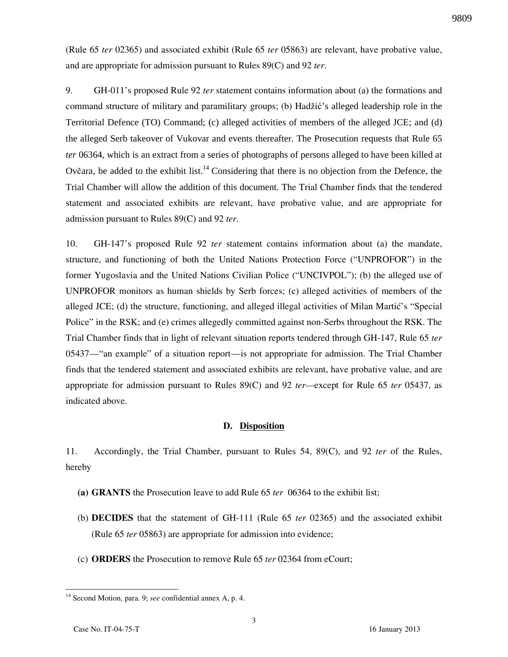(Rule 65 *ter* 02365) and associated exhibit (Rule 65 *ter* 05863) are relevant, have probative value, and are appropriate for admission pursuant to Rules 89(C) and 92 *ter*.

9. GH-011's proposed Rule 92 *ter* statement contains information about (a) the formations and command structure of military and paramilitary groups; (b) Hadžić's alleged leadership role in the Territorial Defence (TO) Command; (c) alleged activities of members of the alleged JCE; and (d) the alleged Serb takeover of Vukovar and events thereafter. The Prosecution requests that Rule 65 *ter* 06364, which is an extract from a series of photographs of persons alleged to have been killed at Ovčara, be added to the exhibit list.<sup>14</sup> Considering that there is no objection from the Defence, the Trial Chamber will allow the addition of this document. The Trial Chamber finds that the tendered statement and associated exhibits are relevant, have probative value, and are appropriate for admission pursuant to Rules 89(C) and 92 *ter*.

10. GH-147's proposed Rule 92 *ter* statement contains information about (a) the mandate, structure, and functioning of both the United Nations Protection Force ("UNPROFOR") in the former Yugoslavia and the United Nations Civilian Police ("UNCIVPOL"); (b) the alleged use of UNPROFOR monitors as human shields by Serb forces; (c) alleged activities of members of the alleged JCE; (d) the structure, functioning, and alleged illegal activities of Milan Martić's "Special Police" in the RSK; and (e) crimes allegedly committed against non-Serbs throughout the RSK. The Trial Chamber finds that in light of relevant situation reports tendered through GH-147, Rule 65 *ter* 05437—"an example" of a situation report—is not appropriate for admission. The Trial Chamber finds that the tendered statement and associated exhibits are relevant, have probative value, and are appropriate for admission pursuant to Rules 89(C) and 92 *ter—*except for Rule 65 *ter* 05437, as indicated above.

#### **D. Disposition**

11. Accordingly, the Trial Chamber, pursuant to Rules 54, 89(C), and 92 *ter* of the Rules, hereby

- **(a) GRANTS** the Prosecution leave to add Rule 65 *ter* 06364 to the exhibit list;
- (b) **DECIDES** that the statement of GH-111 (Rule 65 *ter* 02365) and the associated exhibit (Rule 65 *ter* 05863) are appropriate for admission into evidence;
- (c) **ORDERS** the Prosecution to remove Rule 65 *ter* 02364 from eCourt;

<sup>14</sup> Second Motion, para. 9; *see* confidential annex A, p. 4.